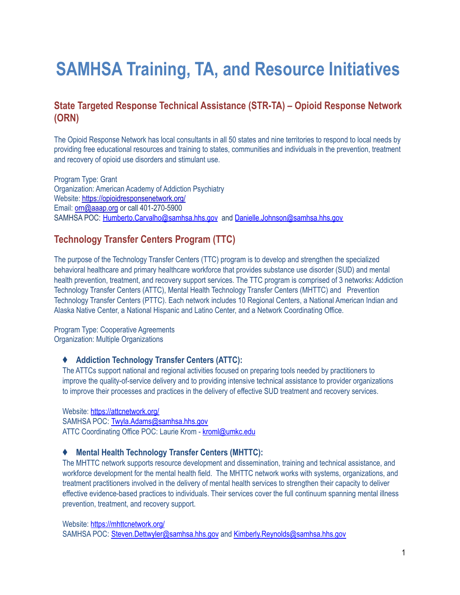# **SAMHSA Training, TA, and Resource Initiatives**

## **State Targeted Response Technical Assistance (STR-TA) – Opioid Response Network (ORN)**

The Opioid Response Network has local consultants in all 50 states and nine territories to respond to local needs by providing free educational resources and training to states, communities and individuals in the prevention, treatment and recovery of opioid use disorders and stimulant use.

Program Type: Grant Organization: American Academy of Addiction Psychiatry Website: <https://opioidresponsenetwork.org/> Email: [orn@aaap.org](mailto:orn@aaap.org) or call 401-270-5900 SAMHSA POC: [Humberto.Carvalho@samhsa.hhs.gov](mailto:Humberto.Carvalho@samhsa.hhs.gov) and [Danielle.Johnson@samhsa.hhs.gov](mailto:Danielle.Johnson@samhsa.hhs.gov)

## **Technology Transfer Centers Program (TTC)**

The purpose of the Technology Transfer Centers (TTC) program is to develop and strengthen the specialized behavioral healthcare and primary healthcare workforce that provides substance use disorder (SUD) and mental health prevention, treatment, and recovery support services. The TTC program is comprised of 3 networks: Addiction Technology Transfer Centers (ATTC), Mental Health Technology Transfer Centers (MHTTC) and Prevention Technology Transfer Centers (PTTC). Each network includes 10 Regional Centers, a National American Indian and Alaska Native Center, a National Hispanic and Latino Center, and a Network Coordinating Office.

Program Type: Cooperative Agreements Organization: Multiple Organizations

#### ♦ **Addiction Technology Transfer Centers (ATTC):**

The ATTCs support national and regional activities focused on preparing tools needed by practitioners to improve the quality-of-service delivery and to providing intensive technical assistance to provider organizations to improve their processes and practices in the delivery of effective SUD treatment and recovery services.

Website: <https://attcnetwork.org/> SAMHSA POC: [Twyla.Adams@samhsa.hhs.gov](mailto:Twyla.Adams@samhsa.hhs.gov) ATTC Coordinating Office POC: Laurie Krom - [kroml@umkc.edu](mailto:kroml@umkc.edu)

#### ♦ **Mental Health Technology Transfer Centers (MHTTC):**

The MHTTC network supports resource development and dissemination, training and technical assistance, and workforce development for the mental health field. The MHTTC network works with systems, organizations, and treatment practitioners involved in the delivery of mental health services to strengthen their capacity to deliver effective evidence-based practices to individuals. Their services cover the full continuum spanning mental illness prevention, treatment, and recovery support.

Website: <https://mhttcnetwork.org/> SAMHSA POC: [Steven.Dettwyler@samhsa.hhs.gov](mailto:Steven.Dettwyler@samhsa.hhs.gov) and [Kimberly.Reynolds@samhsa.hhs.gov](mailto:Kimberly.Reynolds@samhsa.hhs.gov)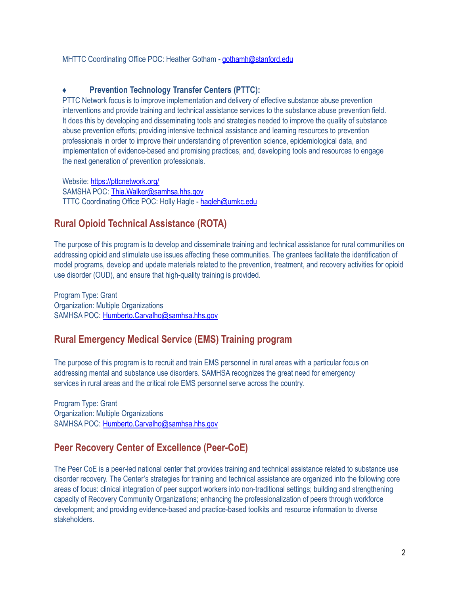MHTTC Coordinating Office POC: Heather Gotham *-* [gothamh@stanford.edu](mailto:gothamh@stanford.edu)

#### **Prevention Technology Transfer Centers (PTTC):**

PTTC Network focus is to improve implementation and delivery of effective substance abuse prevention interventions and provide training and technical assistance services to the substance abuse prevention field. It does this by developing and disseminating tools and strategies needed to improve the quality of substance abuse prevention efforts; providing intensive technical assistance and learning resources to prevention professionals in order to improve their understanding of prevention science, epidemiological data, and implementation of evidence-based and promising practices; and, developing tools and resources to engage the next generation of prevention professionals.

Website: <https://pttcnetwork.org/> SAMSHA POC: [Thia.Walker@samhsa.hhs.gov](mailto:Thia.Walker@samhsa.hhs.gov) TTTC Coordinating Office POC: Holly Hagle - [hagleh@umkc.edu](mailto:hagleh@umkc.edu)

#### **Rural Opioid Technical Assistance (ROTA)**

The purpose of this program is to develop and disseminate training and technical assistance for rural communities on addressing opioid and stimulate use issues affecting these communities. The grantees facilitate the identification of model programs, develop and update materials related to the prevention, treatment, and recovery activities for opioid use disorder (OUD), and ensure that high-quality training is provided.

Program Type: Grant Organization: Multiple Organizations SAMHSA POC: [Humberto.Carvalho@samhsa.hhs.gov](mailto:Humberto.Carvalho@samhsa.hhs.gov)

#### **Rural Emergency Medical Service (EMS) Training program**

The purpose of this program is to recruit and train EMS personnel in rural areas with a particular focus on addressing mental and substance use disorders. SAMHSA recognizes the great need for emergency services in rural areas and the critical role EMS personnel serve across the country.

Program Type: Grant Organization: Multiple Organizations SAMHSA POC: [Humberto.Carvalho@samhsa.hhs.gov](mailto:Humberto.Carvalho@samhsa.hhs.gov)

#### **Peer Recovery Center of Excellence (Peer-CoE)**

The Peer CoE is a peer-led national center that provides training and technical assistance related to substance use disorder recovery. The Center's strategies for training and technical assistance are organized into the following core areas of focus: clinical integration of peer support workers into non-traditional settings; building and strengthening capacity of Recovery Community Organizations; enhancing the professionalization of peers through workforce development; and providing evidence-based and practice-based toolkits and resource information to diverse stakeholders.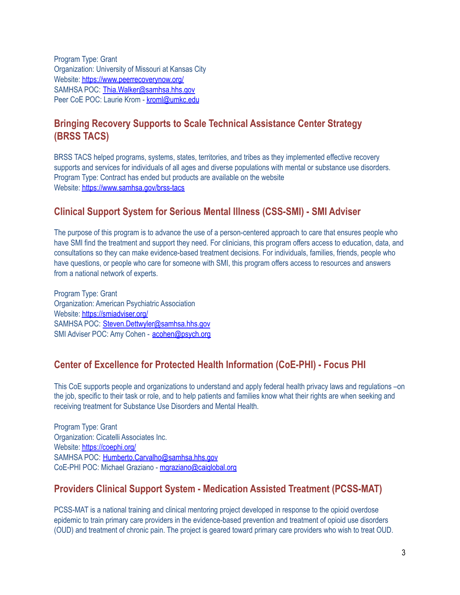Program Type: Grant Organization: University of Missouri at Kansas City Website: <https://www.peerrecoverynow.org/> SAMHSA POC: [Thia.Walker@samhsa.hhs.gov](mailto:Thia.Walker@samhsa.hhs.gov) Peer CoE POC: Laurie Krom - [kroml@umkc.edu](mailto:kroml@umkc.edu)

# **Bringing Recovery Supports to Scale Technical Assistance Center Strategy (BRSS TACS)**

BRSS TACS helped programs, systems, states, territories, and tribes as they implemented effective recovery supports and services for individuals of all ages and diverse populations with mental or substance use disorders. Program Type: Contract has ended but products are available on the website Website: <https://www.samhsa.gov/brss-tacs>

## **Clinical Support System for Serious Mental Illness (CSS-SMI) - SMI Adviser**

The purpose of this program is to advance the use of a person-centered approach to care that ensures people who have SMI find the treatment and support they need. For clinicians, this program offers access to education, data, and consultations so they can make evidence-based treatment decisions. For individuals, families, friends, people who have questions, or people who care for someone with SMI, this program offers access to resources and answers from a national network of experts.

Program Type: Grant Organization: American Psychiatric Association Website: <https://smiadviser.org/> SAMHSA POC: [Steven.Dettwyler@samhsa.hhs.gov](mailto:Steven.Dettwyler@samhsa.hhs.gov) SMI Adviser POC: Amy Cohen - [acohen@psych.org](mailto:acohen@psych.org)

#### **Center of Excellence for Protected Health Information (CoE-PHI) - Focus PHI**

This CoE supports people and organizations to understand and apply federal health privacy laws and regulations –on the job, specific to their task or role, and to help patients and families know what their rights are when seeking and receiving treatment for Substance Use Disorders and Mental Health.

Program Type: Grant Organization: Cicatelli Associates Inc. Website: <https://coephi.org/> SAMHSA POC: [Humberto.Carvalho@samhsa.hhs.gov](mailto:Humberto.Carvalho@samhsa.hhs.gov) CoE-PHI POC: Michael Graziano - [mgraziano@caiglobal.org](mailto:mgraziano@caiglobal.org)

# **Providers Clinical Support System - Medication Assisted Treatment (PCSS-MAT)**

PCSS-MAT is a national training and clinical mentoring project developed in response to the opioid overdose epidemic to train primary care providers in the evidence-based prevention and treatment of opioid use disorders (OUD) and treatment of chronic pain. The project is geared toward primary care providers who wish to treat OUD.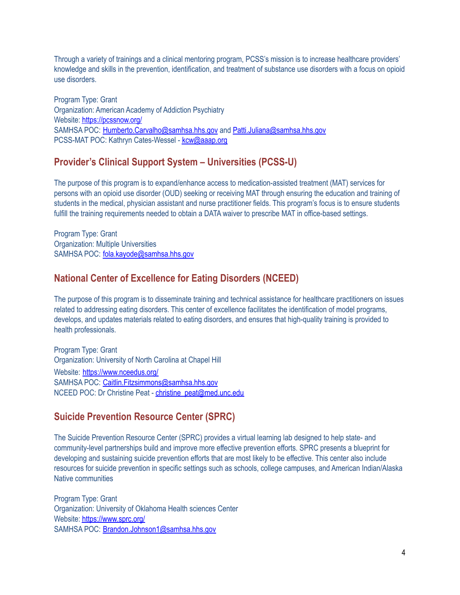Through a variety of trainings and a clinical mentoring program, PCSS's mission is to increase healthcare providers' knowledge and skills in the prevention, identification, and treatment of substance use disorders with a focus on opioid use disorders.

Program Type: Grant Organization: American Academy of Addiction Psychiatry Website: <https://pcssnow.org/> SAMHSA POC: [Humberto.Carvalho@samhsa.hhs.gov](mailto:Humberto.Carvalho@samhsa.hhs.gov) and [Patti.Juliana@samhsa.hhs.gov](mailto:Patti.Juliana@samhsa.hhs.gov) PCSS-MAT POC: Kathryn Cates-Wessel - [kcw@aaap.org](mailto:kcw@aaap.org)

#### **Provider's Clinical Support System – Universities (PCSS-U)**

The purpose of this program is to expand/enhance access to medication-assisted treatment (MAT) services for persons with an opioid use disorder (OUD) seeking or receiving MAT through ensuring the education and training of students in the medical, physician assistant and nurse practitioner fields. This program's focus is to ensure students fulfill the training requirements needed to obtain a DATA waiver to prescribe MAT in office-based settings.

Program Type: Grant Organization: Multiple Universities SAMHSA POC: [fola.kayode@samhsa.hhs.gov](mailto:fola.kayode@samhsa.hhs.gov)

## **National Center of Excellence for Eating Disorders (NCEED)**

The purpose of this program is to disseminate training and technical assistance for healthcare practitioners on issues related to addressing eating disorders. This center of excellence facilitates the identification of model programs, develops, and updates materials related to eating disorders, and ensures that high-quality training is provided to health professionals.

Program Type: Grant Organization: University of North Carolina at Chapel Hill Website: <https://www.nceedus.org/> SAMHSA POC: [Caitlin.Fitzsimmons@samhsa.hhs.gov](mailto:Caitlin.Fitzsimmons@samhsa.hhs.gov) NCEED POC: Dr Christine Peat - [christine\\_peat@med.unc.edu](mailto:christine_peat@med.unc.edu)

# **Suicide Prevention Resource Center (SPRC)**

The Suicide Prevention Resource Center (SPRC) provides a virtual learning lab designed to help state- and community-level partnerships build and improve more effective prevention efforts. SPRC presents a blueprint for developing and sustaining suicide prevention efforts that are most likely to be effective. This center also include resources for suicide prevention in specific settings such as schools, college campuses, and American Indian/Alaska Native communities

Program Type: Grant Organization: University of Oklahoma Health sciences Center Website: <https://www.sprc.org/> SAMHSA POC: [Brandon.Johnson1@samhsa.hhs.gov](mailto:Brandon.Johnson1@samhsa.hhs.gov)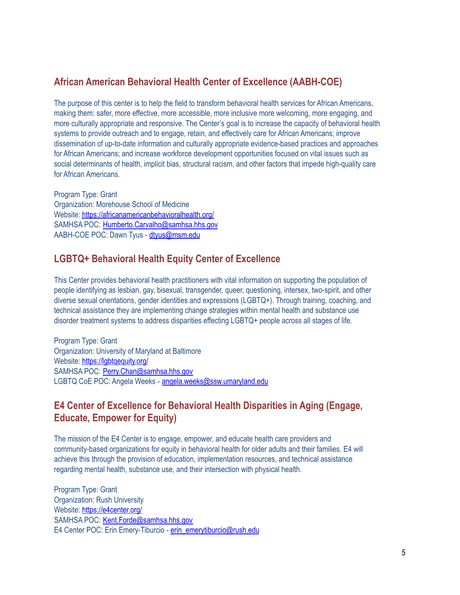#### **African American Behavioral Health Center of Excellence (AABH-COE)**

The purpose of this center is to help the field to transform behavioral health services for African Americans, making them: safer, more effective, more accessible, more inclusive more welcoming, more engaging, and more culturally appropriate and responsive. The Center's goal is to increase the capacity of behavioral health systems to provide outreach and to engage, retain, and effectively care for African Americans; improve dissemination of up-to-date information and culturally appropriate evidence-based practices and approaches for African Americans; and increase workforce development opportunities focused on vital issues such as social determinants of health, implicit bias, structural racism, and other factors that impede high-quality care for African Americans.

Program Type: Grant Organization: Morehouse School of Medicine Website: <https://africanamericanbehavioralhealth.org/> SAMHSA POC: [Humberto.Carvalho@samhsa.hhs.gov](mailto:Humberto.Carvalho@samhsa.hhs.gov) AABH-COE POC: Dawn Tyus - [dtyus@msm.edu](mailto:dtyus@msm.edu)

#### **LGBTQ+ Behavioral Health Equity Center of Excellence**

This Center provides behavioral health practitioners with vital information on supporting the population of people identifying as lesbian, gay, bisexual, transgender, queer, questioning, intersex, two-spirit, and other diverse sexual orientations, gender identities and expressions (LGBTQ+). Through training, coaching, and technical assistance they are implementing change strategies within mental health and substance use disorder treatment systems to address disparities effecting LGBTQ+ people across all stages of life.

Program Type: Grant Organization: University of Maryland at Baltimore Website: https://labtaequity.org/ SAMHSA POC: [Perry.Chan@samhsa.hhs.gov](mailto:Perry.Chan@samhsa.hhs.gov) LGBTQ CoE POC: Angela Weeks - [angela.weeks@ssw.umaryland.edu](mailto:angela.weeks@ssw.umaryland.edu)

# **E4 Center of Excellence for Behavioral Health Disparities in Aging (Engage, Educate, Empower for Equity)**

The mission of the E4 Center is to engage, empower, and educate health care providers and community-based organizations for equity in behavioral health for older adults and their families. E4 will achieve this through the provision of education, implementation resources, and technical assistance regarding mental health, substance use, and their intersection with physical health.

Program Type: Grant Organization: Rush University Website: <https://e4center.org/> SAMHSA POC: [Kent.Forde@samhsa.hhs.gov](mailto:Kent.Forde@samhsa.hhs.gov) E4 Center POC: Erin Emery-Tiburcio - [erin\\_emerytiburcio@rush.edu](mailto:erin_emerytiburcio@rush.edu)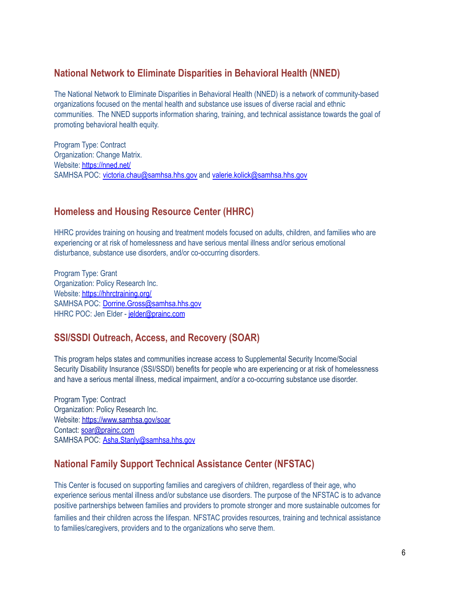## **National Network to Eliminate Disparities in Behavioral Health (NNED)**

The National Network to Eliminate Disparities in Behavioral Health (NNED) is a network of community-based organizations focused on the mental health and substance use issues of diverse racial and ethnic communities. The NNED supports information sharing, training, and technical assistance towards the goal of promoting behavioral health equity.

Program Type: Contract Organization: Change Matrix. Website: <https://nned.net/> SAMHSA POC: [victoria.chau@samhsa.hhs.gov](mailto:victoria.chau@samhsa.hhs.gov) and [valerie.kolick@samhsa.hhs.gov](mailto:valerie.kolick@samhsa.hhs.gov)

## **Homeless and Housing Resource Center (HHRC)**

HHRC provides training on housing and treatment models focused on adults, children, and families who are experiencing or at risk of homelessness and have serious mental illness and/or serious emotional disturbance, substance use disorders, and/or co-occurring disorders.

Program Type: Grant Organization: Policy Research Inc. Website: <https://hhrctraining.org/> SAMHSA POC: [Dorrine.Gross@samhsa.hhs.gov](mailto:Dorrine.Gross@samhsa.hhs.gov) HHRC POC: Jen Elder - [jelder@prainc.com](mailto:jelder@prainc.com)

# **SSI/SSDI Outreach, Access, and Recovery (SOAR)**

This program helps states and communities increase access to Supplemental Security Income/Social Security Disability Insurance (SSI/SSDI) benefits for people who are experiencing or at risk of homelessness and have a serious mental illness, medical impairment, and/or a co-occurring substance use disorder.

Program Type: Contract Organization: Policy Research Inc. Website: <https://www.samhsa.gov/soar> Contact: [soar@prainc.com](mailto:soar@prainc.com) SAMHSA POC: [Asha.Stanly@samhsa.hhs.gov](mailto:Asha.Stanly@samhsa.hhs.gov)

# **National Family Support Technical Assistance Center (NFSTAC)**

This Center is focused on supporting families and caregivers of children, regardless of their age, who experience serious mental illness and/or substance use disorders. The purpose of the NFSTAC is to advance positive partnerships between families and providers to promote stronger and more sustainable outcomes for families and their children across the lifespan. NFSTAC provides resources, training and technical assistance to families/caregivers, providers and to the organizations who serve them.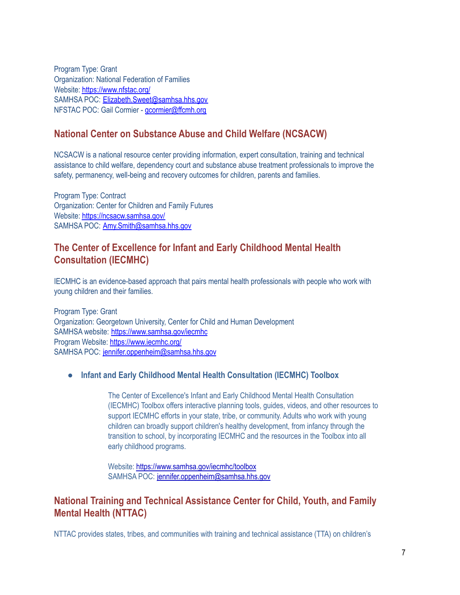Program Type: Grant Organization: National Federation of Families Website: <https://www.nfstac.org/> SAMHSA POC: [Elizabeth.Sweet@samhsa.hhs.gov](mailto:Elizabeth.Sweet@samhsa.hhs.gov) NFSTAC POC: Gail Cormier - [gcormier@ffcmh.org](mailto:gcormier@ffcmh.org)

## **National Center on Substance Abuse and Child Welfare (NCSACW)**

NCSACW is a national resource center providing information, expert consultation, training and technical assistance to child welfare, dependency court and substance abuse treatment professionals to improve the safety, permanency, well-being and recovery outcomes for children, parents and families.

Program Type: Contract Organization: Center for Children and Family Futures Website: <https://ncsacw.samhsa.gov/> SAMHSA POC: [Amy.Smith@samhsa.hhs.gov](mailto:Amy.Smith@samhsa.hhs.gov)

## **The Center of Excellence for Infant and Early Childhood Mental Health Consultation (IECMHC)**

IECMHC is an evidence-based approach that pairs mental health professionals with people who work with young children and their families.

Program Type: Grant Organization: Georgetown University, Center for Child and Human Development SAMHSA website: <https://www.samhsa.gov/iecmhc> Program Website: <https://www.iecmhc.org/> SAMHSA POC: [jennifer.oppenheim@samhsa.hhs.gov](mailto:jennifer.oppenheim@samhsa.hhs.gov)

#### **● Infant and Early Childhood Mental Health Consultation (IECMHC) Toolbox**

The Center of Excellence's Infant and Early Childhood Mental Health Consultation (IECMHC) Toolbox offers interactive planning tools, guides, videos, and other resources to support IECMHC efforts in your state, tribe, or community. Adults who work with young children can broadly support children's healthy development, from infancy through the transition to school, by incorporating IECMHC and the resources in the Toolbox into all early childhood programs.

Website: <https://www.samhsa.gov/iecmhc/toolbox> SAMHSA POC: [jennifer.oppenheim@samhsa.hhs.gov](mailto:jennifer.oppenheim@samhsa.hhs.gov)

## **National Training and Technical Assistance Center for Child, Youth, and Family Mental Health (NTTAC)**

NTTAC provides states, tribes, and communities with training and technical assistance (TTA) on children's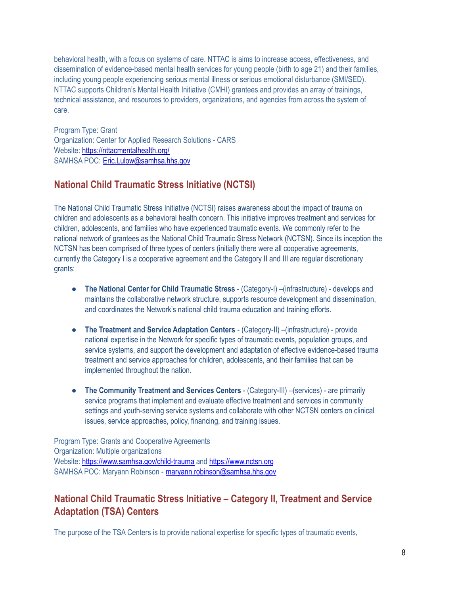behavioral health, with a focus on systems of care. NTTAC is aims to increase access, effectiveness, and dissemination of evidence-based mental health services for young people (birth to age 21) and their families, including young people experiencing serious mental illness or serious emotional disturbance (SMI/SED). NTTAC supports Children's Mental Health Initiative (CMHI) grantees and provides an array of trainings, technical assistance, and resources to providers, organizations, and agencies from across the system of care.

Program Type: Grant Organization: Center for Applied Research Solutions - CARS Website: <https://nttacmentalhealth.org/> SAMHSA POC: [Eric.Lulow@samhsa.hhs.gov](mailto:Eric.Lulow@samhsa.hhs.gov)

## **National Child Traumatic Stress Initiative (NCTSI)**

The National Child Traumatic Stress Initiative (NCTSI) raises awareness about the impact of trauma on children and adolescents as a behavioral health concern. This initiative improves treatment and services for children, adolescents, and families who have experienced traumatic events. We commonly refer to the national network of grantees as the National Child Traumatic Stress Network (NCTSN). Since its inception the NCTSN has been comprised of three types of centers (initially there were all cooperative agreements, currently the Category I is a cooperative agreement and the Category II and III are regular discretionary grants:

- **The National Center for Child Traumatic Stress** (Category-I) –(infrastructure) develops and maintains the collaborative network structure, supports resource development and dissemination, and coordinates the Network's national child trauma education and training efforts.
- **The Treatment and Service Adaptation Centers** (Category-II) –(infrastructure) provide national expertise in the Network for specific types of traumatic events, population groups, and service systems, and support the development and adaptation of effective evidence-based trauma treatment and service approaches for children, adolescents, and their families that can be implemented throughout the nation.
- **The Community Treatment and Services Centers** (Category-III) –(services) are primarily service programs that implement and evaluate effective treatment and services in community settings and youth-serving service systems and collaborate with other NCTSN centers on clinical issues, service approaches, policy, financing, and training issues.

Program Type: Grants and Cooperative Agreements Organization: Multiple organizations Website: <https://www.samhsa.gov/child-trauma> and <https://www.nctsn.org> SAMHSA POC: Maryann Robinson - [maryann.robinson@samhsa.hhs.gov](mailto:maryann.robinson@samhsa.hhs.gov)

## **National Child Traumatic Stress Initiative – Category II, Treatment and Service Adaptation (TSA) Centers**

The purpose of the TSA Centers is to provide national expertise for specific types of traumatic events,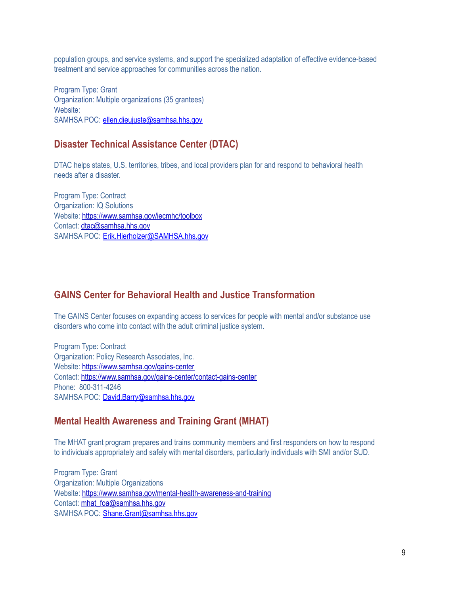population groups, and service systems, and support the specialized adaptation of effective evidence-based treatment and service approaches for communities across the nation.

Program Type: Grant Organization: Multiple organizations (35 grantees) Website: SAMHSA POC: [ellen.dieujuste@samhsa.hhs.gov](mailto:ellen.dieujuste@samhsa.hhs.gov)

#### **Disaster Technical Assistance Center (DTAC)**

DTAC helps states, U.S. territories, tribes, and local providers plan for and respond to behavioral health needs after a disaster.

Program Type: Contract Organization: IQ Solutions Website: <https://www.samhsa.gov/iecmhc/toolbox> Contact: [dtac@samhsa.hhs.gov](mailto:dtac@samhsa.hhs.gov) SAMHSA POC: [Erik.Hierholzer@SAMHSA.hhs.gov](mailto:Erik.Hierholzer@SAMHSA.hhs.gov)

#### **GAINS Center for Behavioral Health and Justice Transformation**

The GAINS Center focuses on expanding access to services for people with mental and/or substance use disorders who come into contact with the adult criminal justice system.

Program Type: Contract Organization: Policy Research Associates, Inc. Website: <https://www.samhsa.gov/gains-center> Contact: <https://www.samhsa.gov/gains-center/contact-gains-center> Phone: 800-311-4246 SAMHSA POC: [David.Barry@samhsa.hhs.gov](mailto:David.Barry@samhsa.hhs.gov)

#### **Mental Health Awareness and Training Grant (MHAT)**

The MHAT grant program prepares and trains community members and first responders on how to respond to individuals appropriately and safely with mental disorders, particularly individuals with SMI and/or SUD.

Program Type: Grant Organization: Multiple Organizations Website: <https://www.samhsa.gov/mental-health-awareness-and-training> Contact: [mhat\\_foa@samhsa.hhs.gov](mailto:mhat_foa@samhsa.hhs.gov) SAMHSA POC: [Shane.Grant@samhsa.hhs.gov](mailto:Shane.Grant@samhsa.hhs.gov)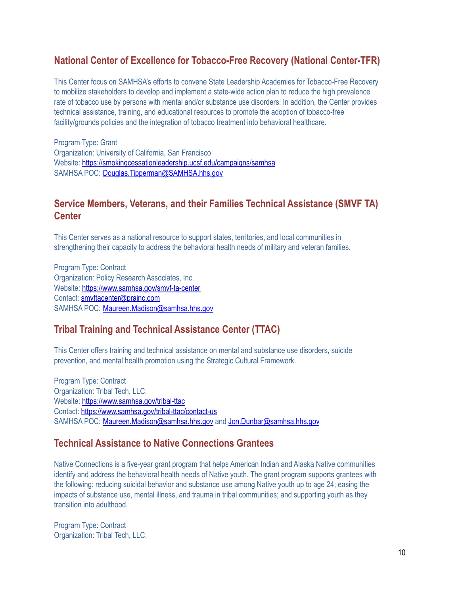# **National Center of Excellence for Tobacco-Free Recovery (National Center-TFR)**

This Center focus on SAMHSA's efforts to convene State Leadership Academies for Tobacco-Free Recovery to mobilize stakeholders to develop and implement a state-wide action plan to reduce the high prevalence rate of tobacco use by persons with mental and/or substance use disorders. In addition, the Center provides technical assistance, training, and educational resources to promote the adoption of tobacco-free facility/grounds policies and the integration of tobacco treatment into behavioral healthcare.

Program Type: Grant Organization: University of California, San Francisco Website: <https://smokingcessationleadership.ucsf.edu/campaigns/samhsa> SAMHSA POC: [Douglas.Tipperman@SAMHSA.hhs.gov](mailto:Douglas.Tipperman@SAMHSA.hhs.gov)

#### **Service Members, Veterans, and their Families Technical Assistance (SMVF TA) Center**

This Center serves as a national resource to support states, territories, and local communities in strengthening their capacity to address the behavioral health needs of military and veteran families.

Program Type: Contract Organization: Policy Research Associates, Inc. Website: <https://www.samhsa.gov/smvf-ta-center> Contact: [smvftacenter@prainc.com](mailto:smvftacenter@prainc.com) SAMHSA POC: [Maureen.Madison@samhsa.hhs.gov](mailto:Maureen.Madison@samhsa.hhs.gov)

#### **Tribal Training and Technical Assistance Center (TTAC)**

This Center offers training and technical assistance on mental and substance use disorders, suicide prevention, and mental health promotion using the Strategic Cultural Framework.

Program Type: Contract Organization: Tribal Tech, LLC. Website: <https://www.samhsa.gov/tribal-ttac> Contact: <https://www.samhsa.gov/tribal-ttac/contact-us> SAMHSA POC: [Maureen.Madison@samhsa.hhs.gov](mailto:Maureen.Madison@samhsa.hhs.gov) and [Jon.Dunbar@samhsa.hhs.gov](mailto:Jon.Dunbar@samhsa.hhs.gov)

#### **Technical Assistance to Native Connections Grantees**

Native Connections is a five-year grant program that helps American Indian and Alaska Native communities identify and address the behavioral health needs of Native youth. The grant program supports grantees with the following: reducing suicidal behavior and substance use among Native youth up to age 24; easing the impacts of substance use, mental illness, and trauma in tribal communities; and supporting youth as they transition into adulthood.

Program Type: Contract Organization: Tribal Tech, LLC.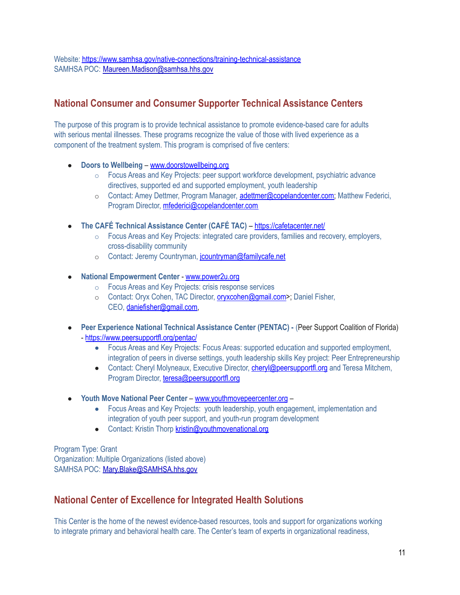Website: <https://www.samhsa.gov/native-connections/training-technical-assistance> SAMHSA POC: [Maureen.Madison@samhsa.hhs.gov](mailto:Maureen.Madison@samhsa.hhs.gov)

# **National Consumer and Consumer Supporter Technical Assistance Centers**

The purpose of this program is to provide technical assistance to promote evidence-based care for adults with serious mental illnesses. These programs recognize the value of those with lived experience as a component of the treatment system. This program is comprised of five centers:

- **Doors to Wellbeing** [www.doorstowellbeing.org](http://www.doorstowellbeing.org/)
	- o Focus Areas and Key Projects: peer support workforce development, psychiatric advance directives, supported ed and supported employment, youth leadership
	- o Contact: Amey Dettmer, Program Manager, [adettmer@copelandcenter.com;](mailto:adettmer@copelandcenter.com) Matthew Federici, Program Director, [mfederici@copelandcenter.com](mailto:mfederici@copelandcenter.com)
- **The CAFÉ Technical Assistance Center (CAFÉ TAC)** <https://cafetacenter.net/>
	- $\circ$  Focus Areas and Key Projects: integrated care providers, families and recovery, employers, cross-disability community
	- o Contact: Jeremy Countryman, jountryman@familycafe.net
- **National Empowerment Center** [www.power2u.org](http://www.power2u.org/)
	- o Focus Areas and Key Projects: crisis response services
	- o Contact: Oryx Cohen, TAC Director, [oryxcohen@gmail.com>](mailto:oryxcohen@gmail.com); Daniel Fisher, CEO, [daniefisher@gmail.com,](mailto:daniefisher@gmail.com)
- **Peer Experience National Technical Assistance Center (PENTAC) -** (Peer Support Coalition of Florida) - <https://www.peersupportfl.org/pentac/>
	- Focus Areas and Key Projects: Focus Areas: supported education and supported employment, integration of peers in diverse settings, youth leadership skills Key project: Peer Entrepreneurship
	- Contact: Cheryl Molyneaux, Executive Director, *[cheryl@peersupportfl.org](mailto:cheryl@peersupportfl.org)* and Teresa Mitchem, Program Director, [teresa@peersupportfl.org](mailto:teresa@peersupportfl.org)
- **Youth Move National Peer Center** [www.youthmovepeercenter.org](http://www.youthmovepeercenter.org/)
	- Focus Areas and Key Projects: youth leadership, youth engagement, implementation and integration of youth peer support, and youth-run program development
	- Contact: Kristin Thorp [kristin@youthmovenational.org](mailto:kristin@youthmovenational.org)

Program Type: Grant Organization: Multiple Organizations (listed above) SAMHSA POC: [Mary.Blake@SAMHSA.hhs.gov](mailto:Mary.Blake@SAMHSA.hhs.gov)

#### **National Center of Excellence for Integrated Health Solutions**

This Center is the home of the newest evidence-based resources, tools and support for organizations working to integrate primary and behavioral health care. The Center's team of experts in organizational readiness,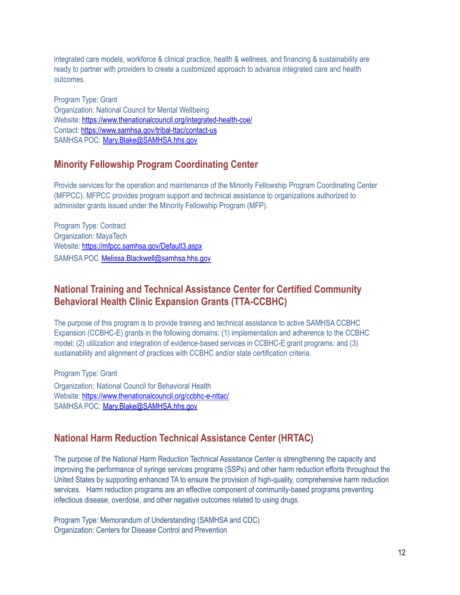integrated care models, workforce & clinical practice, health & wellness, and financing & sustainability are ready to partner with providers to create a customized approach to advance integrated care and health outcomes.

Program Type: Grant Organization: National Council for Mental Wellbeing Website: <https://www.thenationalcouncil.org/integrated-health-coe/> Contact: <https://www.samhsa.gov/tribal-ttac/contact-us> SAMHSA POC: [Mary.Blake@SAMHSA.hhs.gov](mailto:Mary.Blake@SAMHSA.hhs.gov)

#### **Minority Fellowship Program Coordinating Center**

Provide services for the operation and maintenance of the Minority Fellowship Program Coordinating Center (MFPCC). MFPCC provides program support and technical assistance to organizations authorized to administer grants issued under the Minority Fellowship Program (MFP).

Program Type: Contract Organization: MayaTech Website: <https://mfpcc.samhsa.gov/Default3.aspx> SAMHSA POC [Melissa.Blackwell@samhsa.hhs.gov](mailto:Melissa.Blackwell@samhsa.hhs.gov)

#### **National Training and Technical Assistance Center for Certified Community Behavioral Health Clinic Expansion Grants (TTA-CCBHC)**

The purpose of this program is to provide training and technical assistance to active SAMHSA CCBHC Expansion (CCBHC-E) grants in the following domains: (1) implementation and adherence to the CCBHC model; (2) utilization and integration of evidence-based services in CCBHC-E grant programs; and (3) sustainability and alignment of practices with CCBHC and/or state certification criteria.

Program Type: Grant Organization: National Council for Behavioral Health Website: <https://www.thenationalcouncil.org/ccbhc-e-nttac/> SAMHSA POC: [Mary.Blake@SAMHSA.hhs.gov](mailto:Mary.Blake@SAMHSA.hhs.gov)

#### **National Harm Reduction Technical Assistance Center (HRTAC)**

The purpose of the National Harm Reduction Technical Assistance Center is strengthening the capacity and improving the performance of syringe services programs (SSPs) and other harm reduction efforts throughout the United States by supporting enhanced TA to ensure the provision of high-quality, comprehensive harm reduction services. Harm reduction programs are an effective component of community-based programs preventing infectious disease, overdose, and other negative outcomes related to using drugs.

Program Type: Memorandum of Understanding (SAMHSA and CDC) Organization: Centers for Disease Control and Prevention